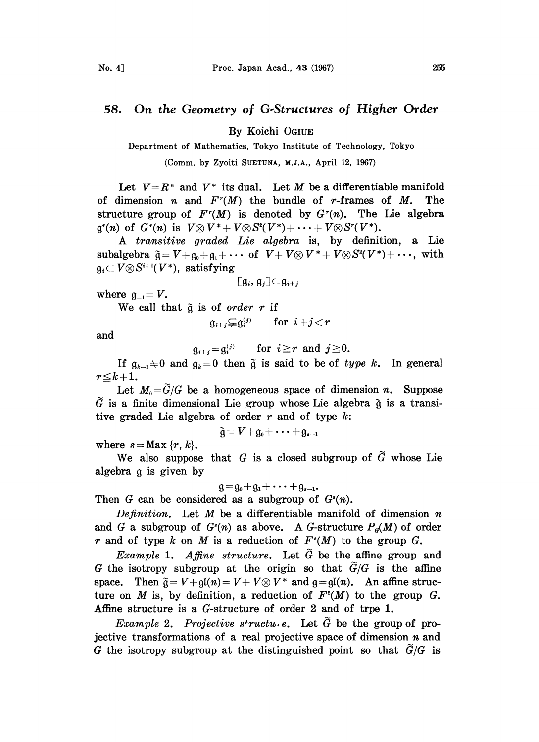## 58. On the Geometry of G.Structures of Higher Order

By Koichi OGIUE

Department of Mathematics, Tokyo Institute of Technology, Tokyo

(Comm. by Zyoiti SUETUNA, M.J.A., April 12, 1967)

Let  $V=R^*$  and  $V^*$  its dual. Let M be a differentiable manifold of dimension *n* and  $F^r(M)$  the bundle of *r*-frames of *M*. The structure group of  $F^r(M)$  is denoted by  $G^r(n)$ . The Lie algebra  $\mathfrak{g}^r(n)$  of  $G^r(n)$  is  $V \otimes V^* + V \otimes S^2(V^*) + \cdots + V \otimes S^r(V^*)$ .

A transitive graded Lie algebra is, by definition, a Lie subalgebra - V+g0++... of V+ V(R) V\*+ V(R)S(V\*)+ ..., with  $\mathfrak{g}_i \subset V \otimes S^{i+1}(V^*)$ , satisfying

$$
[g_i, g_j] \subset g_{i+j}
$$

where  $\mathfrak{g}_{-1} = V$ .

We call that  $\tilde{g}$  is of order r if

$$
\mathfrak{g}_{i+j} \subsetneq \mathfrak{g}_i^{(j)} \qquad \text{for} \ \ i+j < r
$$

and

 $\mathfrak{g}_{i+j} = \mathfrak{g}_i^{(j)}$  for  $i \geq r$  and  $j \geq 0$ .

If  $g_{k-1} \neq 0$  and  $g_k = 0$  then  $\tilde{g}$  is said to be of type k. In general  $r \leq k+1$ .

Let  $M_{\alpha} = \tilde{G}/G$  be a homogeneous space of dimension n. Suppose  $\tilde{G}$  is a finite dimensional Lie group whose Lie algebra  $\tilde{g}$  is a transitive graded Lie algebra of order  $r$  and of type  $k$ :

where  $s = \text{Max } \{r, k\}.$ 

 $\mathfrak{F} = V + \mathfrak{g}_0 + \cdots$ <br>at G is a clo We also suppose that G is a closed subgroup of  $\tilde{G}$  whose Lie algebra g is given by

$$
\mathfrak{g} = \mathfrak{g}_0 + \mathfrak{g}_1 + \cdots + \mathfrak{g}_{s-1}.
$$

Then G can be considered as a subgroup of  $G<sup>s</sup>(n)$ .

Definition. Let  $M$  be a differentiable manifold of dimension  $n$ and G a subgroup of  $G<sup>s</sup>(n)$  as above. A G-structure  $P<sub>a</sub>(M)$  of order r and of type k on M is a reduction of  $F<sup>s</sup>(M)$  to the group G.

Example 1. Affine structure. Let  $\tilde{G}$  be the affine group and G the isotropy subgroup at the origin so that  $\tilde{G}/G$  is the affine space. Then  $\tilde{g} = V + gl(n) = V + V \otimes V^*$  and  $g = gl(n)$ . An affine struce. Then  $\tilde{g} = V + gl(n) = V + V \otimes V^*$  and  $g = gl(n)$ . An affine structure on *M* is, by definition, a reduction of  $F^2(M)$  to the group *G*.<br>le structure is a *G*-structure of order 2 and of trpe 1.<br>*Example* 2. *Projective struc* ture on M is, by definition, a reduction of  $F^2(M)$  to the group G. Affine structure is a G-structure of order 2 and of trpe 1.

jective transformations of a real projective space of dimension  $n$  and G the isotropy subgroup at the distinguished point so that  $\tilde{G}/G$  is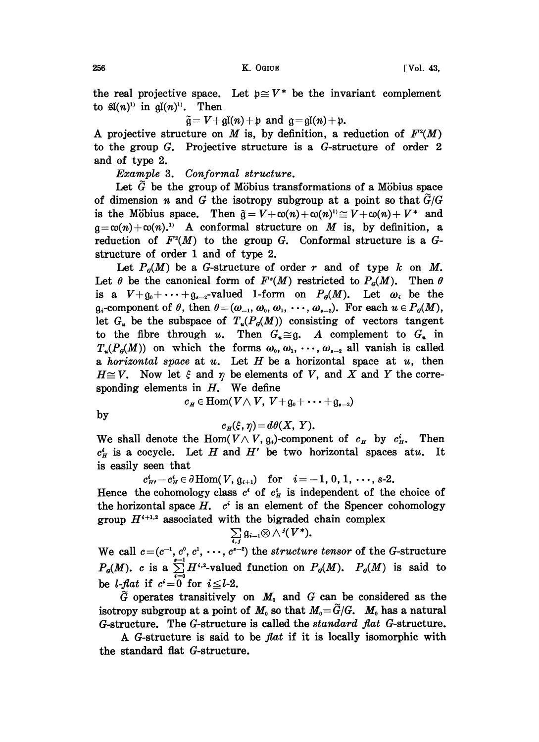the real projective space. Let  $p \cong V^*$  be the invariant complement to  $\mathfrak{gl}(n)^{1}$  in  $\mathfrak{gl}(n)^{1}$ . Then

 $\tilde{q} = V + qI(n) + p$  and  $q = qI(n) + p$ .

A projective structure on M is, by definition, a reduction of  $F^2(M)$ to the group G. Projective structure is a G-structure of order 2 and of type 2.

Example 3. Conformal structure.

Let  $\tilde{G}$  be the group of Möbius transformations of a Möbius space of dimension n and G the isotropy subgroup at a point so that  $\tilde{G}/G$ is the Möbius space. Then  $\tilde{q} = V + c_0(n) + c_0(n)^{1/2} \cong V + c_0(n) + V^*$  and is the Möbius space. Then  $\tilde{g} = V + c\alpha(n) + c\alpha(n)^{1/2} \approx V + c\alpha(n) + V^*$  and  $g = c\alpha(n) + c\alpha(n)$ . A conformal structure on *M* is, by definition, a reduction of  $F^2(M)$  to the group *G*. Conformal structure is a *G*reduction of  $F^2(M)$  to the group G. Conformal structure is a Gstructure of order 1 and of type 2.

Let  $P_{\sigma}(M)$  be a G-structure of order r and of type k on M. Let  $\theta$  be the canonical form of  $F^{\prime}(M)$  restricted to  $P_{\theta}(M)$ . Then  $\theta$ is a  $V+q_0+\cdots+q_{s-2}$ -valued 1-form on  $P_q(M)$ . Let  $\omega_i$  be the  $g_i$ -component of  $\theta$ , then  $\theta = (\omega_{-1}, \omega_0, \omega_1, \cdots, \omega_{s-2})$ . For each  $u \in P_{\theta}(M)$ , let  $G_u$  be the subspace of  $T_u(P_d(M))$  consisting of vectors tangent to the fibre through u. Then  $G_u \cong g$ . A complement to  $G_u$  in  $T_u(P_d(M))$  on which the forms  $\omega_0, \omega_1, \cdots, \omega_{s-2}$  all vanish is called a *horizontal space* at u. Let H be a horizontal space at u, then  $H \cong V$ . Now let  $\xi$  and  $\eta$  be elements of V, and X and Y the corresponding elements in  $H$ . We define

 $c_H \in \text{Hom}(V \wedge V, V+_{\mathfrak{q}_0}+\cdots+_{\mathfrak{q}_{n-2}})$ 

by

$$
c_{H}(\xi,\eta)=d\theta(X,\ Y).
$$

We shall denote the Hom( $V \wedge V$ ,  $g_i$ )-component of  $c_H$  by  $c_H^i$ . Then  $c_H^i$  is a cocycle. Let H and H' be two horizontal spaces atu. It is easily seen that

 $c_{H'}^i - c_H^i \in \partial \text{Hom}(V, \mathfrak{g}_{i+1})$  for  $i=-1, 0, 1, \dots, s-2$ . Hence the cohomology class  $c^i$  of  $c^i$  is independent of the choice of the horizontal space  $H$ ,  $c^i$  is an element of the Spencer cohomology group  $H^{i+1,2}$  associated with the bigraded chain complex

$$
\sum_{i,j} \mathfrak{g}_{i-1} \otimes \wedge \, ^j(V^*).
$$

We call  $c=(c^{-1}, c^0, c^1, \cdots, c^{s-2})$  the structure tensor of the G-structure  $P_{\sigma}(M)$ . c is a  $\sum_{i=1}^{n-1} H^{i,2}$ -valued function on  $P_{\sigma}(M)$ .  $P_{\sigma}(M)$  is said to be *l*-*flat* if  $c^i = 0$  for  $i \leq l-2$ .

 $\tilde{G}$  operates transitively on  $M_0$  and G can be considered as the isotropy subgroup at a point of  $M_0$  so that  $M_0 = \tilde{G}/G$ .  $M_0$  has a natural G-structure. The G-structure is called the standard fiat G-structure.

A G-structure is said to be fiat if it is locally isomorphic with the standard flat G-structure.